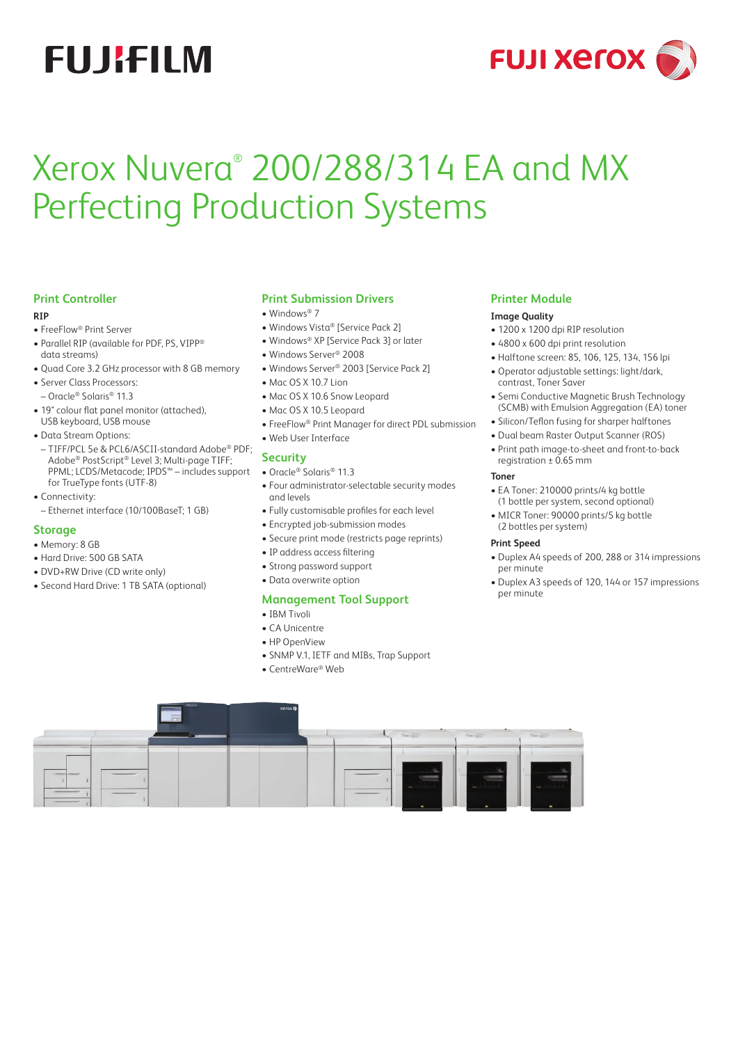# **FUJIFILM**



# Xerox Nuvera® 200/288/314 EA and MX Perfecting Production Systems

# **Print Controller**

### **RIP**

- FreeFlow® Print Server
- Parallel RIP (available for PDF, PS, VIPP® data streams)
- Quad Core 3.2 GHz processor with 8 GB memory
- Server Class Processors:
- Oracle® Solaris® 11.3
- 19" colour flat panel monitor (attached), USB keyboard, USB mouse
- Data Stream Options:
- TIFF/PCL 5e & PCL6/ASCII-standard Adobe® PDF; Adobe® PostScript® Level 3; Multi-page TIFF; PPML; LCDS/Metacode; IPDS™ – includes support for TrueType fonts (UTF-8)
- Connectivity:
- Ethernet interface (10/100BaseT; 1 GB)

# **Storage**

- Memory: 8 GB
- Hard Drive: 500 GB SATA
- DVD+RW Drive (CD write only)
- Second Hard Drive: 1 TB SATA (optional)

# **Print Submission Drivers**

- Windows<sup>®</sup> 7
- Windows Vista® [Service Pack 2]
- Windows® XP [Service Pack 3] or later
- Windows Server® 2008
- Windows Server® 2003 [Service Pack 2]
- Mac OS X 10.7 Lion
- Mac OS X 10.6 Snow Leopard
- Mac OS X 10.5 Leopard
- FreeFlow® Print Manager for direct PDL submission
- Web User Interface

#### **Security**

- Oracle® Solaris® 11.3
- Four administrator-selectable security modes and levels
- Fully customisable profiles for each level
- Encrypted job-submission modes
- Secure print mode (restricts page reprints)
- IP address access filtering
- Strong password support
- Data overwrite option

# **Management Tool Support**

- IBM Tivoli
- CA Unicentre
- HP OpenView
- SNMP V.1, IETF and MIBs, Trap Support
- CentreWare® Web

# **Printer Module**

#### **Image Quality**

- 1200 x 1200 dpi RIP resolution
- 4800 x 600 dpi print resolution
- Halftone screen: 85, 106, 125, 134, 156 lpi
- Operator adjustable settings: light/dark, contrast, Toner Saver
- Semi Conductive Magnetic Brush Technology (SCMB) with Emulsion Aggregation (EA) toner
- Silicon/Teflon fusing for sharper halftones
- Dual beam Raster Output Scanner (ROS)
- Print path image-to-sheet and front-to-back registration ± 0.65 mm

#### **Toner**

- EA Toner: 210000 prints/4 kg bottle (1 bottle per system, second optional)
- MICR Toner: 90000 prints/5 kg bottle (2 bottles per system)

#### **Print Speed**

- Duplex A4 speeds of 200, 288 or 314 impressions per minute
- Duplex A3 speeds of 120, 144 or 157 impressions per minute